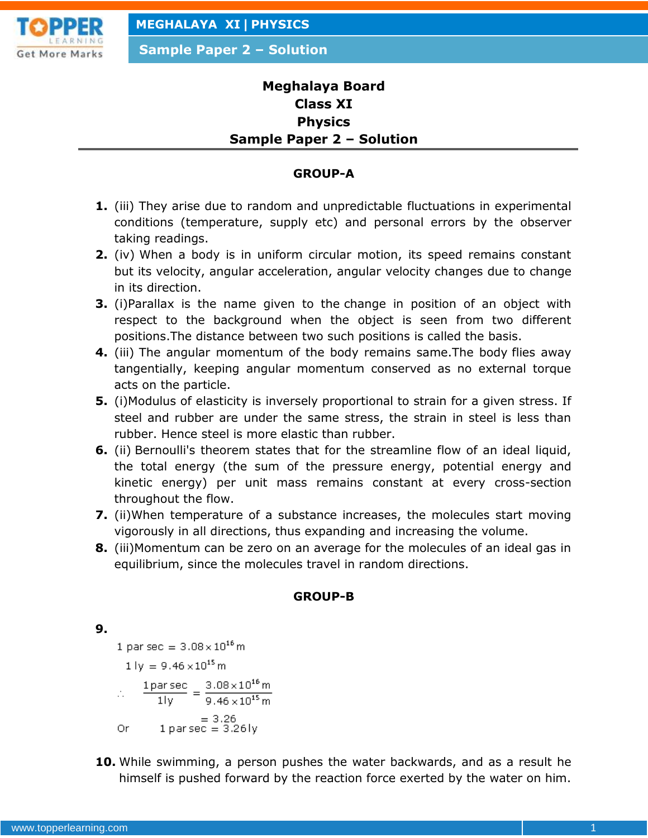

**Sample Paper 2 – Solution**

# **Meghalaya Board Class XI Physics Sample Paper 2 – Solution**

### **GROUP-A**

- **1.** (iii) They arise due to random and unpredictable fluctuations in experimental conditions (temperature, supply etc) and personal errors by the observer taking readings.
- **2.** (iv) When a body is in uniform circular motion, its speed remains constant but its velocity, angular acceleration, angular velocity changes due to change in its direction.
- **3.** (i)Parallax is the name given to the change in position of an object with respect to the background when the object is seen from two different positions.The distance between two such positions is called the basis.
- **4.** (iii) The angular momentum of the body remains same.The body flies away tangentially, keeping angular momentum conserved as no external torque acts on the particle.
- **5.** (i)Modulus of elasticity is inversely proportional to strain for a given stress. If steel and rubber are under the same stress, the strain in steel is less than rubber. Hence steel is more elastic than rubber.
- **6.** (ii) Bernoulli's theorem states that for the streamline flow of an ideal liquid, the total energy (the sum of the pressure energy, potential energy and kinetic energy) per unit mass remains constant at every cross-section throughout the flow.
- **7.** (ii)When temperature of a substance increases, the molecules start moving vigorously in all directions, thus expanding and increasing the volume.
- **8.** (iii)Momentum can be zero on an average for the molecules of an ideal gas in equilibrium, since the molecules travel in random directions.

## **GROUP-B**

### **9.**

1 par sec =  $3.08 \times 10^{16}$  m

 $1 \text{ ly} = 9.46 \times 10^{15} \text{ m}$ 

$$
= \frac{1 \text{ par sec}}{1 \text{ ly}} = \frac{3.08 \times 10^{16} \text{ m}}{9.46 \times 10^{15} \text{ m}}
$$

$$
= 3.26
$$

$$
Or \t1 parsec = 3.261y
$$

**10.** While swimming, a person pushes the water backwards, and as a result he himself is pushed forward by the reaction force exerted by the water on him.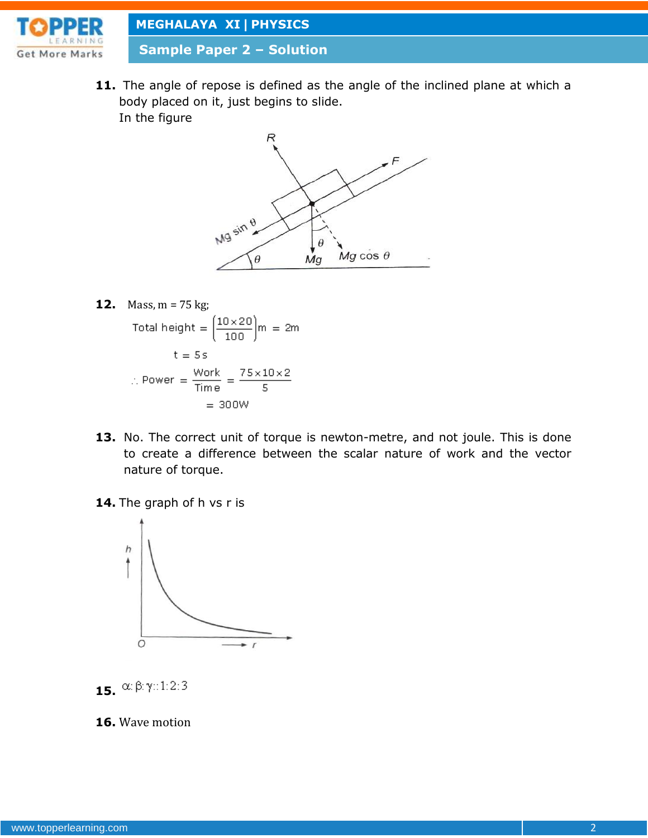

**Sample Paper 2 – Solution**

**11.** The angle of repose is defined as the angle of the inclined plane at which a body placed on it, just begins to slide. In the figure



**12.** Mass, m = 75 kg;  
\nTotal height = 
$$
\left(\frac{10 \times 20}{100}\right)m = 2m
$$
  
\nt = 5 s  
\n $\therefore$  Power =  $\frac{\text{Work}}{\text{Time}} = \frac{75 \times 10 \times 2}{5}$   
\n= 300W

- **13.** No. The correct unit of torque is newton-metre, and not joule. This is done to create a difference between the scalar nature of work and the vector nature of torque.
- **14.** The graph of h vs r is





**16.** Wave motion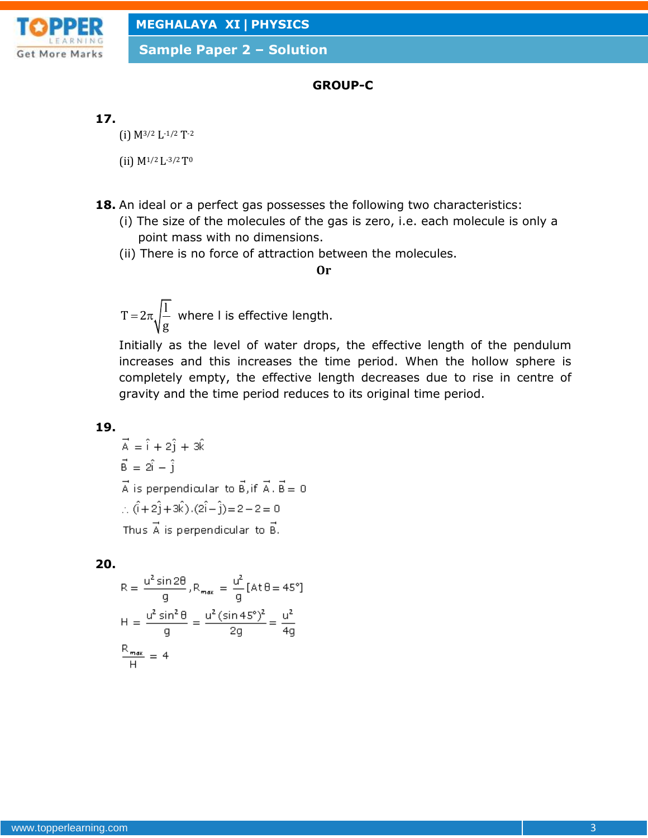

## **GROUP-C**

### **17.**

(i) M3/2 L-1/2 T-2

(ii) M1/2 L-3/2T<sup>0</sup>

- **18.** An ideal or a perfect gas possesses the following two characteristics:
	- (i) The size of the molecules of the gas is zero, i.e. each molecule is only a point mass with no dimensions.
	- (ii) There is no force of attraction between the molecules.

#### **Or**

 $T = 2\pi$ <sub>1</sub> g  $=2\pi$ ,  $\left| \frac{1}{n} \right|$  where I is effective length.

Initially as the level of water drops, the effective length of the pendulum increases and this increases the time period. When the hollow sphere is completely empty, the effective length decreases due to rise in centre of gravity and the time period reduces to its original time period.

### **19.**

$$
\vec{A} = \hat{i} + 2\hat{j} + 3\hat{k}
$$
  
\n
$$
\vec{B} = 2\hat{i} - \hat{j}
$$
  
\n
$$
\vec{A} \text{ is perpendicular to } \vec{B}, \text{ if } \vec{A} \cdot \vec{B} = 0
$$
  
\n
$$
\therefore (\hat{i} + 2\hat{j} + 3\hat{k}) \cdot (2\hat{i} - \hat{j}) = 2 - 2 = 0
$$
  
\nThus  $\vec{A}$  is perpendicular to  $\vec{B}$ .

### **20.**

$$
R = \frac{u^2 \sin 2\theta}{g}, R_{max} = \frac{u^2}{g} [At\theta = 45^\circ]
$$

$$
H = \frac{u^2 \sin^2 \theta}{g} = \frac{u^2 (\sin 45^\circ)^2}{2g} = \frac{u^2}{4g}
$$

$$
\frac{R_{max}}{H} = 4
$$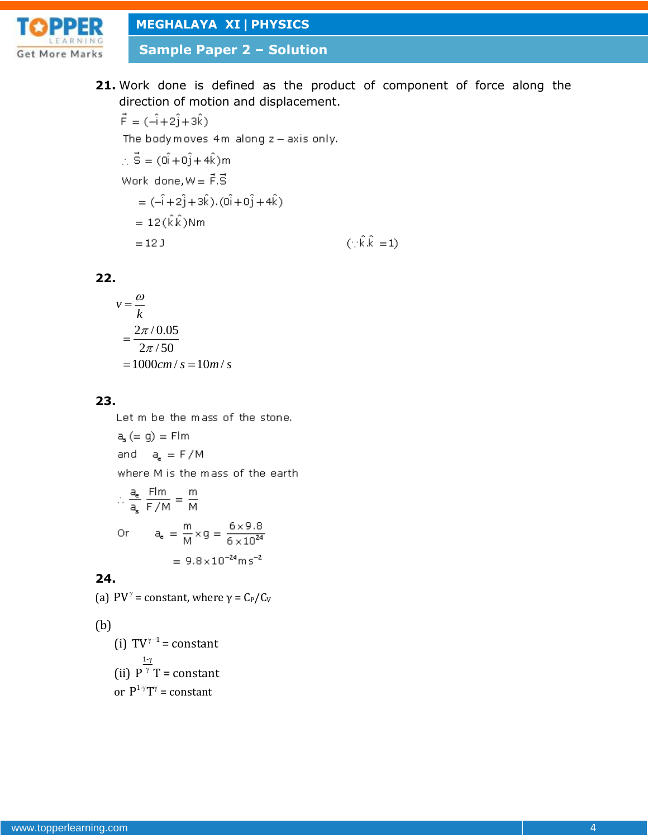

**Sample Paper 2 – Solution**

**21.** Work done is defined as the product of component of force along the direction of motion and displacement.

 $\vec{F} = (\hat{-1} + 2\hat{j} + 3\hat{k})$ The body moves  $4m$  along  $z$  - axis only.  $\therefore$   $\vec{S} = (\vec{0} + \vec{0} + 4\hat{k})m$ Work done,  $W = \vec{F} \cdot \vec{S}$  $= (-\hat{i} + 2\hat{j} + 3\hat{k}) \cdot (0\hat{i} + 0\hat{j} + 4\hat{k})$  $= 12(\hat{k}\hat{k})$ Nm  $(\cdot;\hat{\mathbf{k}}.\hat{\mathbf{k}}=1)$  $= 12 J$ 

### **22.**

$$
v = \frac{\omega}{k}
$$
  
=  $\frac{2\pi/0.05}{2\pi/50}$   
=  $1000cm/s = 10m/s$ 

### **23.**

Let m be the mass of the stone.

$$
a_s (= g) = \text{F/m}
$$
\nand

\n
$$
a_e = \text{F/M}
$$
\nwhere M is the mass of the earth

\n
$$
a = \text{F/m}
$$
\n
$$
m = \text{F/m}
$$

$$
\therefore \frac{a_e}{a_s} \frac{100}{F/M} = \frac{10}{M}
$$
  
Or 
$$
a_e = \frac{m}{M} \times g = \frac{6 \times 9.8}{6 \times 10^{24}}
$$

$$
= 9.8 \times 10^{-24} \text{ m s}^{-2}
$$

### **24.**

(a)  $PV^{\gamma}$  = constant, where  $\gamma = C_{P}/C_{V}$ 

## (b)

(i)  $TV^{\gamma-1}$  = constant (ii) 1-  $P^{\gamma}T$ γ  $\gamma$  T = constant or  $P^{1-\gamma}T^{\gamma}$  = constant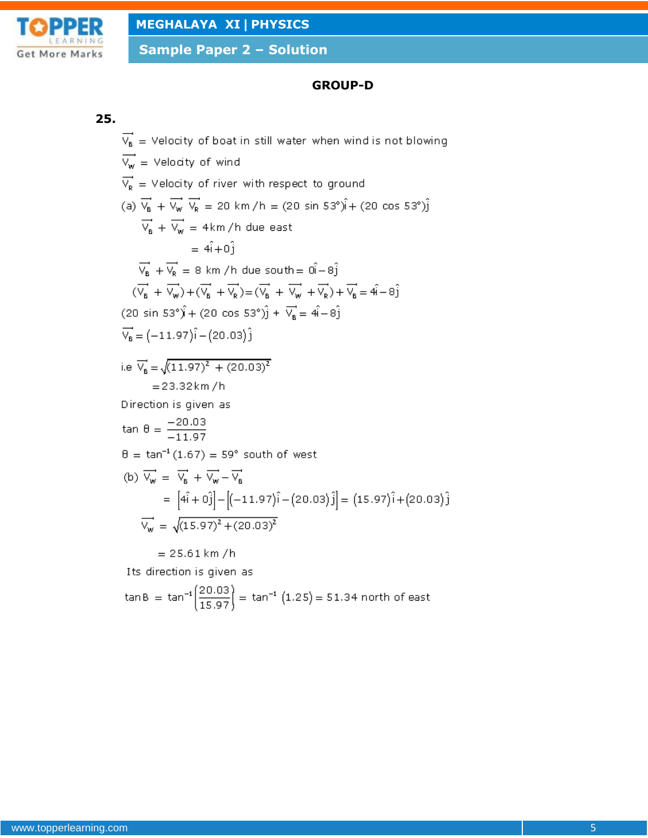

## **GROUP-D**

#### **25.**

 $\overrightarrow{V_8}$  = Velocity of boat in still water when wind is not blowing  $\overrightarrow{V_w}$  = Velocity of wind  $\overrightarrow{V_R}$  = Velocity of river with respect to ground (a)  $\overline{V_8}$  +  $\overline{V_w}$   $\overline{V_R}$  = 20 km/h = (20 sin 53°) $\hat{j}$  + (20 cos 53°) $\hat{j}$  $\overrightarrow{V_{B}} + \overrightarrow{V_{W}} = 4 \text{km/h}$  due east  $= 4\hat{i} + 0\hat{j}$  $\overrightarrow{V_B}$  +  $\overrightarrow{V_R}$  = 8 km /h due south =  $0\hat{i} - 8\hat{j}$  $(\overrightarrow{V_{B}} + \overrightarrow{V_{W}}) + (\overrightarrow{V_{B}} + \overrightarrow{V_{R}}) = (\overrightarrow{V_{B}} + \overrightarrow{V_{W}} + \overrightarrow{V_{R}}) + \overrightarrow{V_{B}} = 4\hat{i} - 8\hat{j}$  $(20 \sin 53^\circ)\hat{i} + (20 \cos 53^\circ)\hat{j} + \overrightarrow{V_6} = 4\hat{i} - 8\hat{j}$  $\vec{V}_B = (-11.97)\hat{i} - (20.03)\hat{j}$ i.e  $\overrightarrow{V}_B = \sqrt{(11.97)^2 + (20.03)^2}$  $= 23.32 km/h$ Direction is given as tan θ =  $\frac{-20.03}{-11.97}$  $\theta = \tan^{-1}(1.67) = 59^{\circ}$  south of west (b)  $\overrightarrow{V_w} = \overrightarrow{V_R} + \overrightarrow{V_w} - \overrightarrow{V_R}$ =  $[4\hat{i} + 0\hat{j}] - [(-11.97)\hat{i} - (20.03)\hat{j}] = (15.97)\hat{i} + (20.03)\hat{j}$  $\overrightarrow{V_w} = \sqrt{(15.97)^2 + (20.03)^2}$  $= 25.61 km/h$ Its direction is given as tan B = tan<sup>-1</sup> $\left(\frac{20.03}{15.97}\right)$  = tan<sup>-1</sup> (1.25) = 51.34 north of east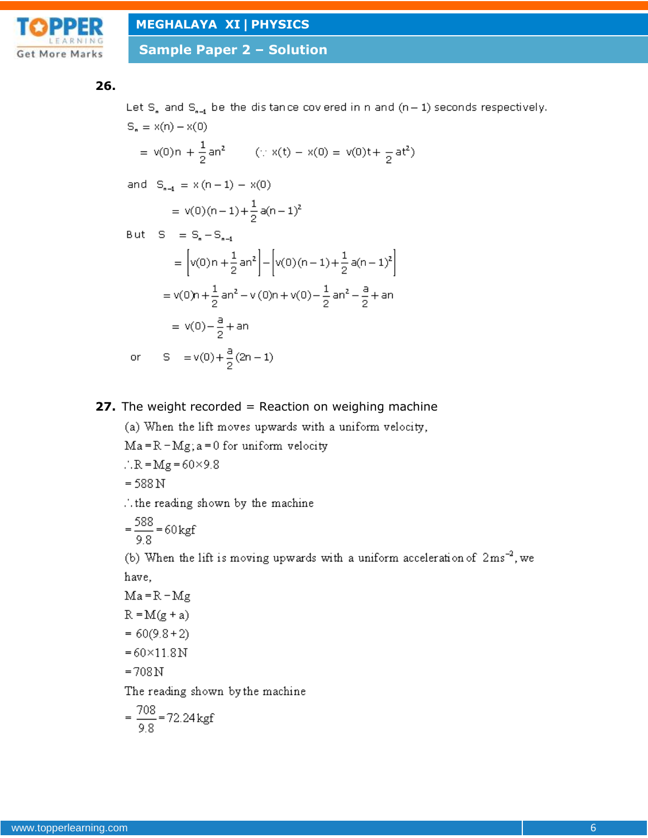

**Sample Paper 2 – Solution**

#### **26.**

Let  $S_n$  and  $S_{n-1}$  be the distance covered in n and  $(n-1)$  seconds respectively.  $S_n = x(n) - x(0)$ = v(0)n +  $\frac{1}{2}$  an<sup>2</sup> (: x(t) - x(0) = v(0)t +  $\frac{1}{2}$  at<sup>2</sup>) and  $S_{n-1} = x(n-1) - x(0)$ =  $v(0)(n-1)+\frac{1}{2}a(n-1)^2$ But  $S = S_n - S_{n-1}$ =  $\left[ v(0) n + \frac{1}{2} a n^2 \right] - \left[ v(0) (n-1) + \frac{1}{2} a (n-1)^2 \right]$ =  $v(0)$ n +  $\frac{1}{2}$  an<sup>2</sup> –  $v(0)$ n +  $v(0)$  –  $\frac{1}{2}$  an<sup>2</sup> –  $\frac{a}{2}$  + an  $= v(0) - \frac{a}{2} + an$ 

or  $S = v(0) + \frac{a}{2}(2n - 1)$ 

**27.** The weight recorded = Reaction on weighing machine

(a) When the lift moves upwards with a uniform velocity,

 $Ma = R - Mg$ ; a = 0 for uniform velocity

$$
\therefore R = Mg = 60 \times 9.8
$$

$$
= 588 \,\mathrm{N}
$$

...the reading shown by the machine

$$
= \frac{588}{9.8} = 60 \text{ kgf}
$$

(b) When the lift is moving upwards with a uniform acceleration of  $2ms^{-2}$ , we have,

$$
Ma = R - Mg
$$

$$
R = M(g + a)
$$

$$
= 60(9.8 + 2)
$$

- $= 60 \times 11.8 N$
- $=708N$

The reading shown by the machine

$$
= \frac{708}{9.8} = 72.24 \,\text{kgf}
$$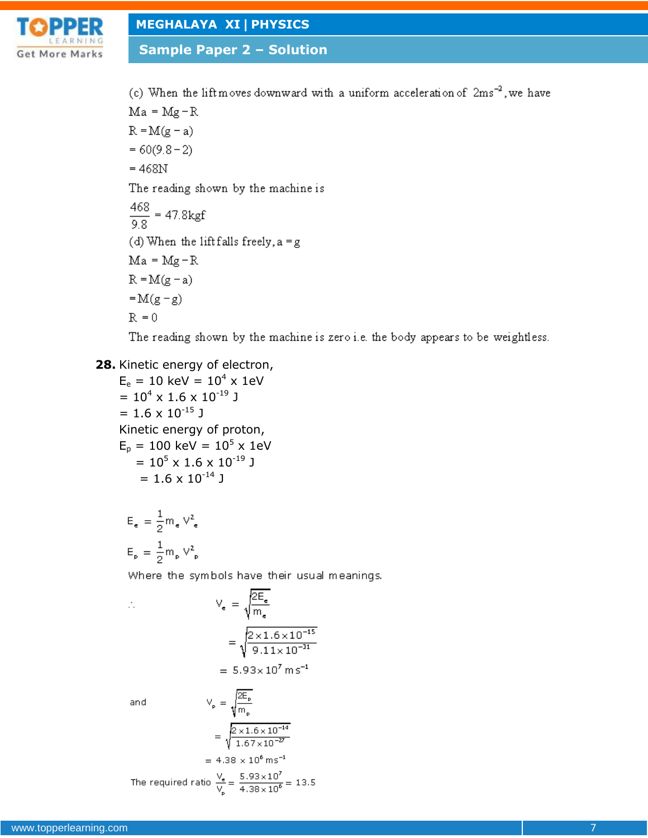

**Sample Paper 2 – Solution**

(c) When the lift moves downward with a uniform acceleration of  $2ms^{-2}$ , we have  $Ma = Mg - R$  $R = M(g - a)$  $= 60(9.8 - 2)$  $= 468N$ The reading shown by the machine is  $\frac{468}{9.8}$  = 47.8kgf (d) When the lift falls freely,  $a = g$  $Ma = Mg - R$  $R = M(g - a)$  $=M(g-g)$ 

The reading shown by the machine is zero i.e. the body appears to be weightless.

## **28.** Kinetic energy of electron,

 $R = 0$ 

 $E_e = 10 \text{ keV} = 10^4 \text{ x } 1 \text{ eV}$  $= 10^4 \times 1.6 \times 10^{-19}$  J  $= 1.6 \times 10^{-15}$  J Kinetic energy of proton,  $E_p = 100 \text{ keV} = 10^5 \text{ x } 1 \text{ eV}$  $= 10^5 \times 1.6 \times 10^{-19}$  J  $= 1.6 \times 10^{-14}$  J

$$
\begin{aligned} \mathsf{E}_{\mathsf{e}} &= \frac{1}{2} \mathsf{m}_{\mathsf{e}} \; \mathsf{V}_{\;\mathsf{e}}^2 \\ \mathsf{E}_{\mathsf{p}} &= \frac{1}{2} \mathsf{m}_{\mathsf{p}} \; \mathsf{V}_{\;\mathsf{p}}^2 \end{aligned}
$$

Where the symbols have their usual meanings.

$$
V_e = \sqrt{\frac{2E_e}{m_e}}
$$
  
=  $\sqrt{\frac{2 \times 1.6 \times 10^{-15}}{9.11 \times 10^{-31}}}$   
= 5.93×10<sup>7</sup> m s<sup>-1</sup>

and

A,

$$
V_{p} = \sqrt{\frac{2E_{p}}{m_{p}}}
$$
  
= 
$$
\sqrt{\frac{2 \times 1.6 \times 10^{-14}}{1.67 \times 10^{-27}}}
$$

 $\overline{2E}$ 

$$
= 4.38 \times 10^{8} \text{ ms}^{-1}
$$
  

$$
= 5.93 \times 10^{7}
$$

The required ratio  $\frac{v_e}{V_p} = \frac{3.33 \times 10^8}{4.38 \times 10^8} = 13.5$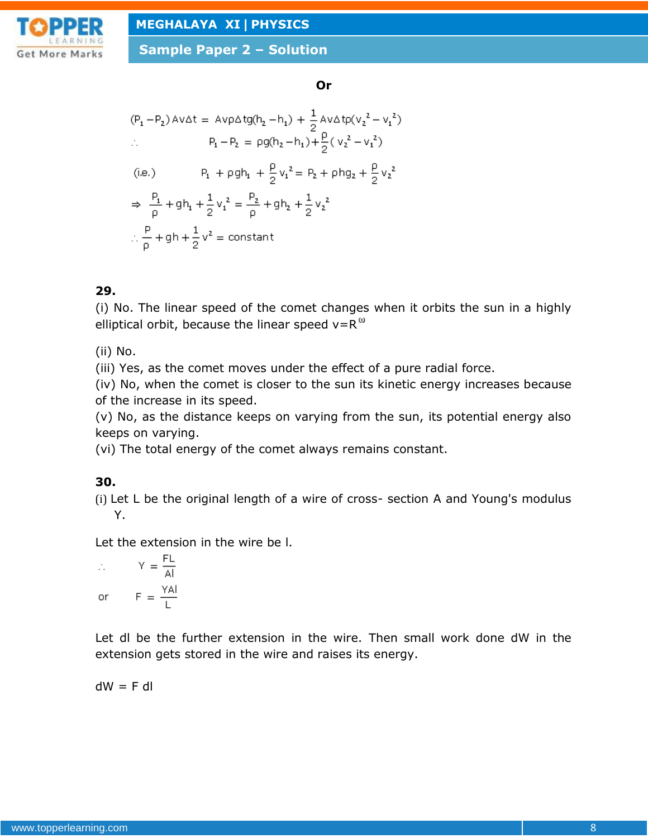

#### **Or**

$$
(P_1 - P_2) \text{av}\Delta t = \text{Avp}\Delta t g(h_2 - h_1) + \frac{1}{2}\text{Av}\Delta t p(v_2^2 - v_1^2)
$$
  
\n
$$
\therefore \qquad P_1 - P_2 = \text{pg}(h_2 - h_1) + \frac{\rho}{2}(v_2^2 - v_1^2)
$$
  
\n(i.e.) 
$$
P_1 + \text{pg}h_1 + \frac{\rho}{2}v_1^2 = P_2 + \text{ph}g_2 + \frac{\rho}{2}v_2^2
$$
  
\n
$$
\Rightarrow \frac{P_1}{\rho} + \text{gh}_1 + \frac{1}{2}v_1^2 = \frac{P_2}{\rho} + \text{gh}_2 + \frac{1}{2}v_2^2
$$
  
\n
$$
\therefore \frac{\rho}{\rho} + \text{gh} + \frac{1}{2}v^2 = \text{constant}
$$

## **29.**

(i) No. The linear speed of the comet changes when it orbits the sun in a highly elliptical orbit, because the linear speed  $v=R^{\omega}$ 

(ii) No.

(iii) Yes, as the comet moves under the effect of a pure radial force.

(iv) No, when the comet is closer to the sun its kinetic energy increases because of the increase in its speed.

(v) No, as the distance keeps on varying from the sun, its potential energy also keeps on varying.

(vi) The total energy of the comet always remains constant.

## **30.**

(i) Let L be the original length of a wire of cross- section A and Young's modulus Y.

Let the extension in the wire be l.

$$
\therefore \qquad Y = \frac{FL}{AI}
$$
  
or 
$$
F = \frac{YAI}{L}
$$

Let dl be the further extension in the wire. Then small work done dW in the extension gets stored in the wire and raises its energy.

$$
dW = F dl
$$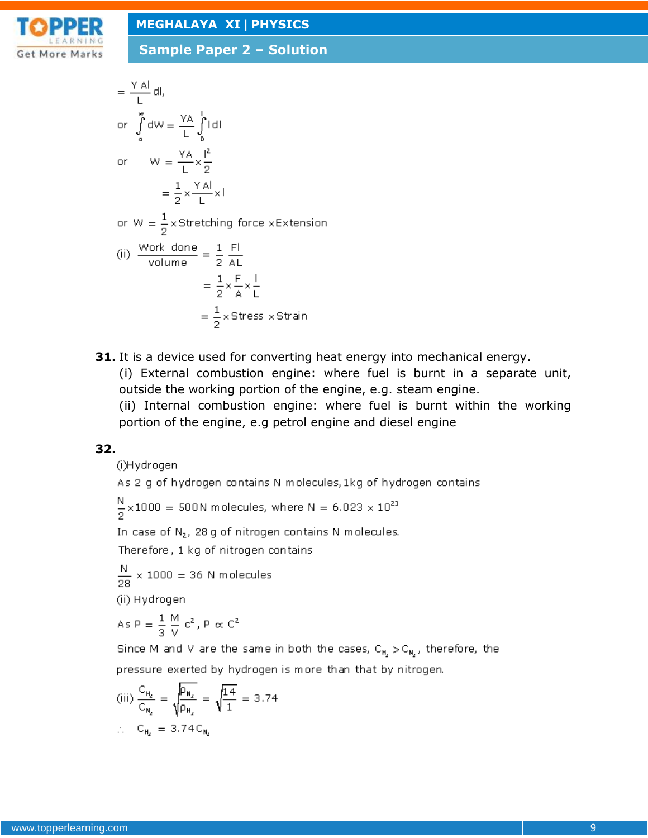

**Sample Paper 2 – Solution**

$$
= \frac{Y \text{ Al}}{L} \text{ dl},
$$
\nor  $\int_{a}^{\infty} dW = \frac{YA}{L} \int_{b}^{1} |dl|$   
\nor  $W = \frac{YA}{L} \times \frac{l^{2}}{2}$   
\n $= \frac{1}{2} \times \frac{YA}{L} \times l$   
\nor  $W = \frac{1}{2} \times \text{Stretching force} \times \text{Extension}$   
\n(ii)  $\frac{\text{Work done}}{\text{volume}} = \frac{1}{2} \frac{Fl}{AL}$   
\n $= \frac{1}{2} \times \frac{F}{A} \times \frac{l}{L}$   
\n $= \frac{1}{2} \times \text{Stress} \times \text{Strain}$ 

**31.** It is a device used for converting heat energy into mechanical energy.

(i) External combustion engine: where fuel is burnt in a separate unit, outside the working portion of the engine, e.g. steam engine.

(ii) Internal combustion engine: where fuel is burnt within the working portion of the engine, e.g petrol engine and diesel engine

## **32.**

(i)Hydrogen

As 2 g of hydrogen contains N molecules, 1kg of hydrogen contains

 $\frac{N}{2}$  × 1000 = 500N molecules, where N = 6.023 × 10<sup>23</sup>

In case of N<sub>2</sub>, 28 g of nitrogen contains N molecules.

Therefore, 1 kg of nitrogen contains

 $\frac{N}{28}$  × 1000 = 36 N molecules

(ii) Hydrogen

As 
$$
P = \frac{1}{3} \frac{M}{V} c^2
$$
,  $P \propto C^2$ 

Since M and V are the same in both the cases,  $C_{H_1} > C_{H_2}$ , therefore, the pressure exerted by hydrogen is more than that by nitrogen.

(iii) 
$$
\frac{C_{H_2}}{C_{H_2}} = \sqrt{\frac{P_{H_2}}{P_{H_2}}} = \sqrt{\frac{14}{1}} = 3.74
$$
  
:.  $C_{H_2} = 3.74 C_{H_2}$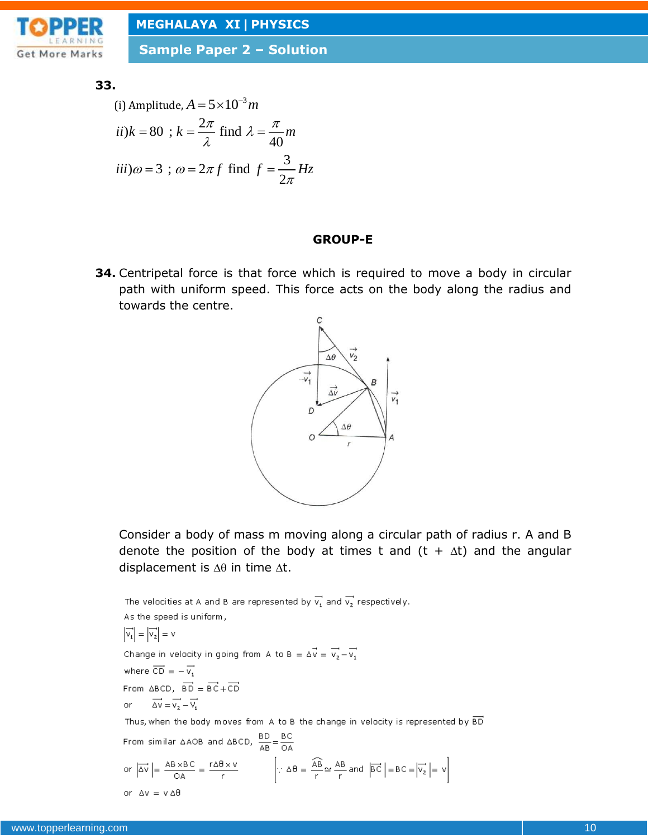

**Sample Paper 2 – Solution**

#### **33.**

(i) Amplitude, 
$$
A = 5 \times 10^{-3} m
$$
  
\n $ii)k = 80$ ;  $k = \frac{2\pi}{\lambda}$  find  $\lambda = \frac{\pi}{40} m$   
\n $iii) \omega = 3$ ;  $\omega = 2\pi f$  find  $f = \frac{3}{2\pi} Hz$ 

#### **GROUP-E**

**34.** Centripetal force is that force which is required to move a body in circular path with uniform speed. This force acts on the body along the radius and towards the centre.



Consider a body of mass m moving along a circular path of radius r. A and B denote the position of the body at times t and  $(t + \Delta t)$  and the angular displacement is  $\Delta\theta$  in time  $\Delta t$ .

The velocities at A and B are represented by  $\overrightarrow{\mathsf{v}_1}$  and  $\overrightarrow{\mathsf{v}_2}$  respectively. As the speed is uniform,  $\left|\overrightarrow{v_1}\right| = \left|\overrightarrow{v_2}\right| = v$ Change in velocity in going from A to B =  $\Delta \vec{v} = \vec{v_2} - \vec{v_1}$ where  $\overrightarrow{CD} = -\overrightarrow{v_1}$ From  $\triangle BCD$ ,  $\overrightarrow{BD} = \overrightarrow{BC} + \overrightarrow{CD}$  $\overrightarrow{\Delta V} = \overrightarrow{V_2} - \overrightarrow{V_1}$ or Thus, when the body moves from A to B the change in velocity is represented by  $\overline{BD}$ From similar  $\triangle AOB$  and  $\triangle BCD$ ,  $\frac{BD}{AB} = \frac{BC}{OA}$ or  $|\overrightarrow{\Delta v}| = \frac{AB \times BC}{OA} = \frac{r \Delta B \times v}{r}$   $\left[\because \Delta \theta = \frac{\widehat{AB}}{r} \simeq \frac{AB}{r} \text{ and } |\overrightarrow{BC}| = BC = |\overrightarrow{v_2}| = v\right]$ or  $\Delta v = v \Delta \theta$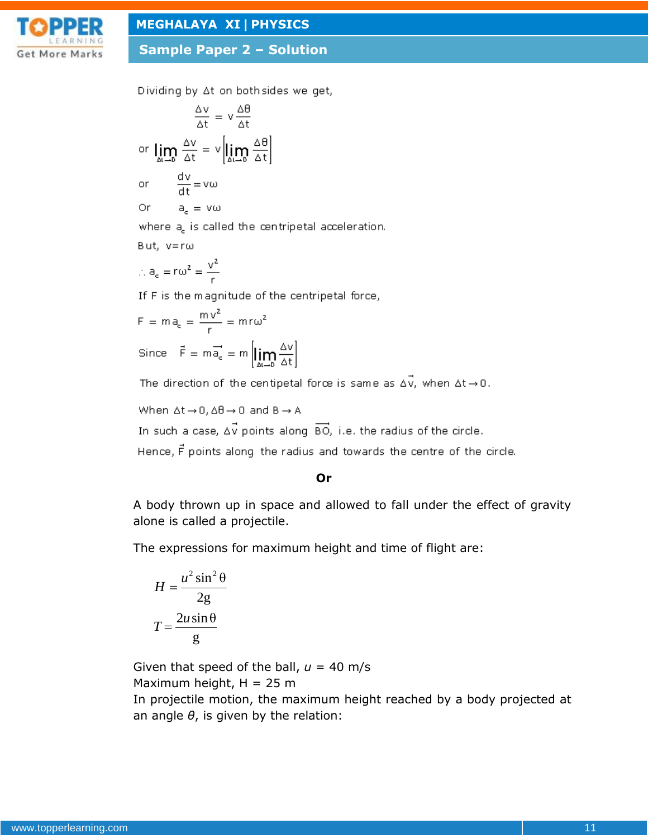

**Sample Paper 2 – Solution**

Dividing by At on both sides we get,

$$
\frac{\Delta v}{\Delta t} = v \frac{\Delta t}{\Delta t}
$$
\nor 
$$
\lim_{\Delta t \to 0} \frac{\Delta v}{\Delta t} = v \left[ \lim_{\Delta t \to 0} \frac{\Delta \theta}{\Delta t} \right]
$$
\nor 
$$
\frac{dv}{dt} = vw
$$
\nor 
$$
a_c = vw
$$
\nwhere  $a_c$  is called the centre

tal acceleration.

$$
\text{But, } v \text{ = } r \omega
$$

$$
\therefore a_e = r\omega^2 = \frac{v^2}{r}
$$

If F is the magnitude of the centripetal force,

$$
F = ma_c = \frac{mv^2}{r} = mr\omega^2
$$
  
Since  $\vec{F} = m\vec{a}_c = m \left[ \lim_{\Delta t \to 0} \frac{\Delta v}{\Delta t} \right]$ 

The direction of the centipetal force is same as  $\Delta \vec{v}$ , when  $\Delta t \rightarrow 0$ .

$$
\text{When } \Delta t \!\rightarrow\! 0, \Delta \theta \!\rightarrow\! 0 \text{ and } B \!\rightarrow\! A
$$

In such a case,  $\Delta \vec{v}$  points along  $\overrightarrow{BO}$ , i.e. the radius of the circle.

Hence, F points along the radius and towards the centre of the circle.

#### **Or**

A body thrown up in space and allowed to fall under the effect of gravity alone is called a projectile.

The expressions for maximum height and time of flight are:

$$
H = \frac{u^2 \sin^2 \theta}{2g}
$$

$$
T = \frac{2u \sin \theta}{g}
$$

Given that speed of the ball,  $u = 40$  m/s Maximum height,  $H = 25$  m In projectile motion, the maximum height reached by a body projected at an angle *θ*, is given by the relation: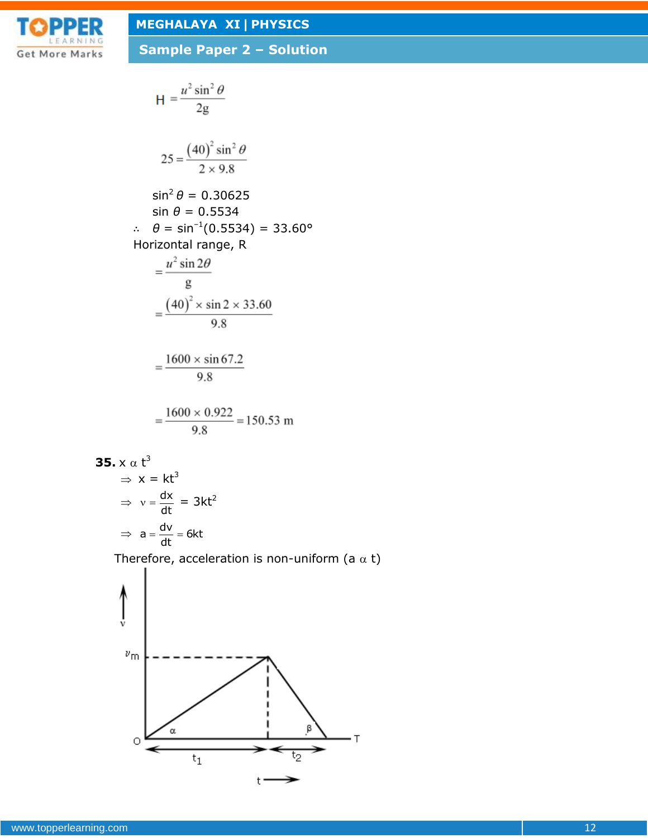

H = 
$$
\frac{u^2 \sin^2 \theta}{2g}
$$
  
\n25 =  $\frac{(40)^2 \sin^2 \theta}{2 \times 9.8}$   
\n $\sin^2 \theta = 0.30625$   
\n $\sin \theta = 0.5534$   
\n $\therefore \theta = \sin^{-1}(0.5534) = 33.60^\circ$   
\nHorizontal range, R  
\n $= \frac{u^2 \sin 2\theta}{g}$   
\n $= \frac{(40)^2 \times \sin 2 \times 33.60}{9.8}$   
\n $= \frac{1600 \times \sin 67.2}{9.8}$   
\n $= \frac{1600 \times 0.922}{9.8} = 150.53 \text{ m}$ 

**35.** 
$$
x \alpha t^3
$$
  
\n $\Rightarrow x = kt^3$   
\n $\Rightarrow v = \frac{dx}{dt} = 3kt^2$   
\n $\Rightarrow a = \frac{dv}{dt} = 6kt$ 

Therefore, acceleration is non-uniform (a  $\alpha$  t)

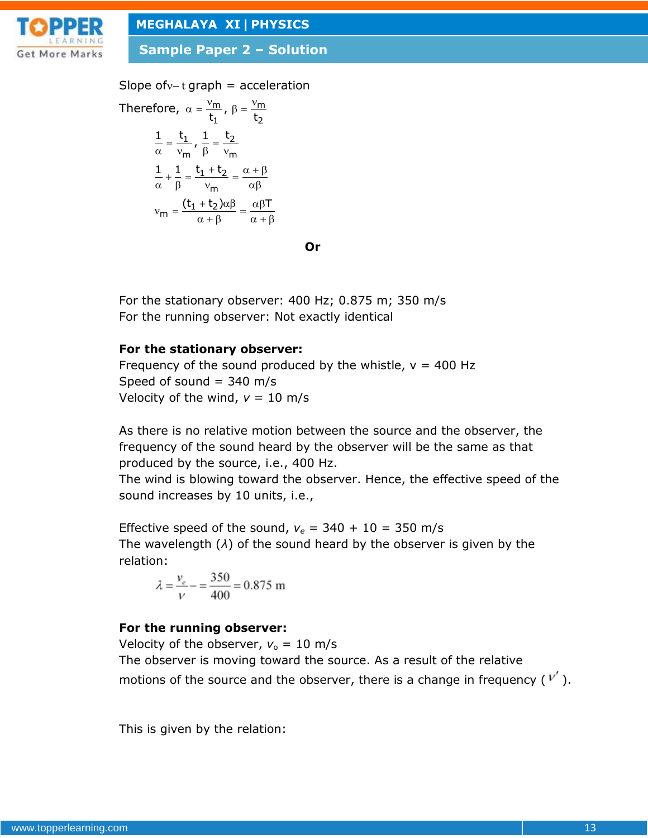

**Sample Paper 2 – Solution**

Slope of  $v$  - t graph = acceleration

Therefore, 
$$
\alpha = \frac{v_m}{t_1}
$$
,  $\beta = \frac{v_m}{t_2}$   
\n
$$
\frac{1}{\alpha} = \frac{t_1}{v_m}
$$
,  $\frac{1}{\beta} = \frac{t_2}{v_m}$   
\n
$$
\frac{1}{\alpha} + \frac{1}{\beta} = \frac{t_1 + t_2}{v_m} = \frac{\alpha + \beta}{\alpha \beta}
$$
  
\n
$$
v_m = \frac{(t_1 + t_2)\alpha\beta}{\alpha + \beta} = \frac{\alpha\beta T}{\alpha + \beta}
$$

**Or**

For the stationary observer: 400 Hz; 0.875 m; 350 m/s For the running observer: Not exactly identical

### **For the stationary observer:**

Frequency of the sound produced by the whistle,  $v = 400$  Hz Speed of sound  $=$  340 m/s Velocity of the wind,  $v = 10$  m/s

As there is no relative motion between the source and the observer, the frequency of the sound heard by the observer will be the same as that produced by the source, i.e., 400 Hz.

The wind is blowing toward the observer. Hence, the effective speed of the sound increases by 10 units, i.e.,

Effective speed of the sound,  $v_e = 340 + 10 = 350$  m/s The wavelength (*λ*) of the sound heard by the observer is given by the relation:

$$
\lambda = \frac{v_e}{v} - \frac{350}{400} = 0.875 \text{ m}
$$

## **For the running observer:**

Velocity of the observer,  $v_0 = 10$  m/s The observer is moving toward the source. As a result of the relative motions of the source and the observer, there is a change in frequency ( $V'$ ).

This is given by the relation: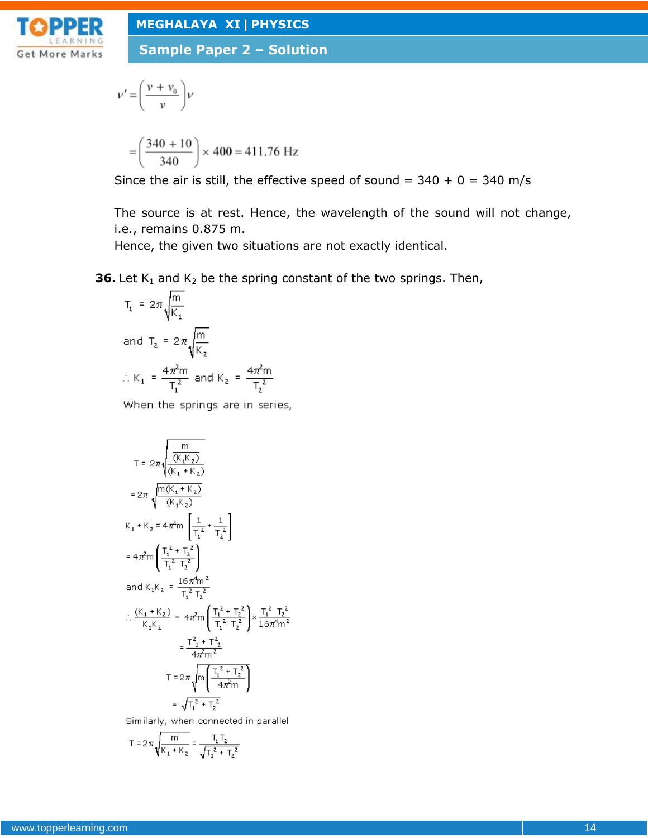

**Sample Paper 2 – Solution**

$$
V' = \left(\frac{v + v_0}{v}\right)V
$$

$$
= \left(\frac{340 + 10}{340}\right) \times 400 = 411.76
$$
 Hz

Since the air is still, the effective speed of sound =  $340 + 0 = 340$  m/s

The source is at rest. Hence, the wavelength of the sound will not change, i.e., remains 0.875 m.

Hence, the given two situations are not exactly identical.

**36.** Let  $K_1$  and  $K_2$  be the spring constant of the two springs. Then,

$$
T_1 = 2\pi \sqrt{\frac{m}{K_1}}
$$
  
and 
$$
T_2 = 2\pi \sqrt{\frac{m}{K_2}}
$$
  

$$
\therefore K_1 = \frac{4\pi^2 m}{T_1^2} \text{ and } K_2 = \frac{4\pi^2 m}{T_2^2}
$$

When the springs are in series,

$$
T = 2\pi \sqrt{\frac{m}{(K_1 K_2)}}\n= 2\pi \sqrt{\frac{m(K_1 + K_2)}{(K_1 + K_2)}}
$$
\n
$$
= 2\pi \sqrt{\frac{m(K_1 + K_2)}{(K_1 K_2)}}
$$
\n
$$
K_1 + K_2 = 4\pi^2 m \left[ \frac{1}{T_1^2} + \frac{1}{T_2^2} \right]
$$
\n
$$
= 4\pi^2 m \left( \frac{T_1^2 + T_2^2}{T_1^2 T_2^2} \right)
$$
\n
$$
\therefore \frac{(K_1 + K_2)}{K_1 K_2} = 4\pi^2 m \left( \frac{T_1^2 + T_2^2}{T_1^2 T_2^2} \right) \times \frac{T_1^2 T_2^2}{16\pi^4 m^2}
$$
\n
$$
= \frac{T_1^2 + T_2^2}{4\pi^2 m^2}
$$
\n
$$
T = 2\pi \sqrt{m \left( \frac{T_1^2 + T_2^2}{4\pi^2 m} \right)}
$$
\n
$$
= \sqrt{T_1^2 + T_2^2}
$$

Similarly, when connected in parallel

$$
T = 2\pi \sqrt{\frac{m}{K_1 + K_2}} = \frac{T_1 T_2}{\sqrt{T_1^2 + T_2^2}}
$$